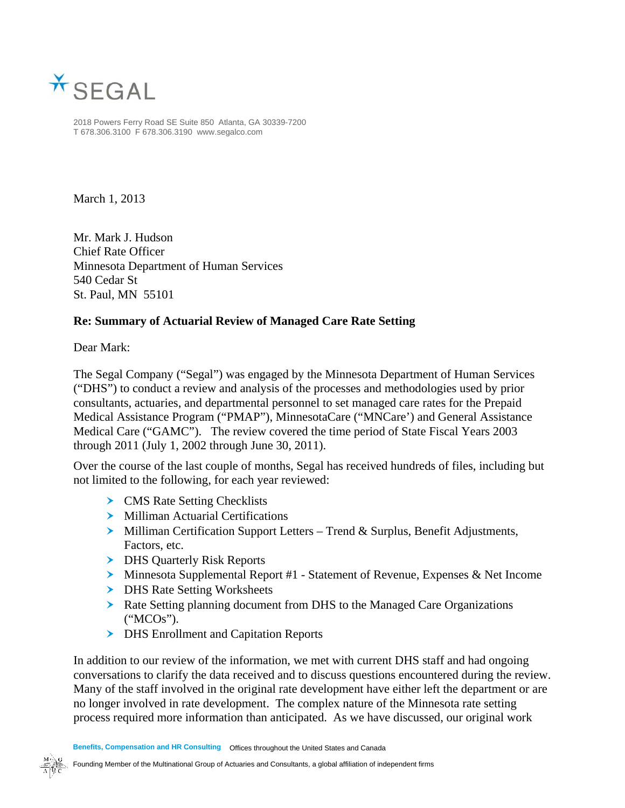

2018 Powers Ferry Road SE Suite 850 Atlanta, GA 30339-7200 T 678.306.3100 F 678.306.3190 www.segalco.com

March 1, 2013

Mr. Mark J. Hudson Chief Rate Officer Minnesota Department of Human Services 540 Cedar St St. Paul, MN 55101

### **Re: Summary of Actuarial Review of Managed Care Rate Setting**

Dear Mark:

The Segal Company ("Segal") was engaged by the Minnesota Department of Human Services ("DHS") to conduct a review and analysis of the processes and methodologies used by prior consultants, actuaries, and departmental personnel to set managed care rates for the Prepaid Medical Assistance Program ("PMAP"), MinnesotaCare ("MNCare') and General Assistance Medical Care ("GAMC"). The review covered the time period of State Fiscal Years 2003 through 2011 (July 1, 2002 through June 30, 2011).

Over the course of the last couple of months, Segal has received hundreds of files, including but not limited to the following, for each year reviewed:

- **>** CMS Rate Setting Checklists
- > Milliman Actuarial Certifications
- **Milliman Certification Support Letters Trend & Surplus, Benefit Adjustments,** Factors, etc.
- **DHS Quarterly Risk Reports**
- Minnesota Supplemental Report #1 Statement of Revenue, Expenses & Net Income
- > DHS Rate Setting Worksheets
- Rate Setting planning document from DHS to the Managed Care Organizations ("MCOs").
- **>** DHS Enrollment and Capitation Reports

In addition to our review of the information, we met with current DHS staff and had ongoing conversations to clarify the data received and to discuss questions encountered during the review. Many of the staff involved in the original rate development have either left the department or are no longer involved in rate development. The complex nature of the Minnesota rate setting process required more information than anticipated. As we have discussed, our original work

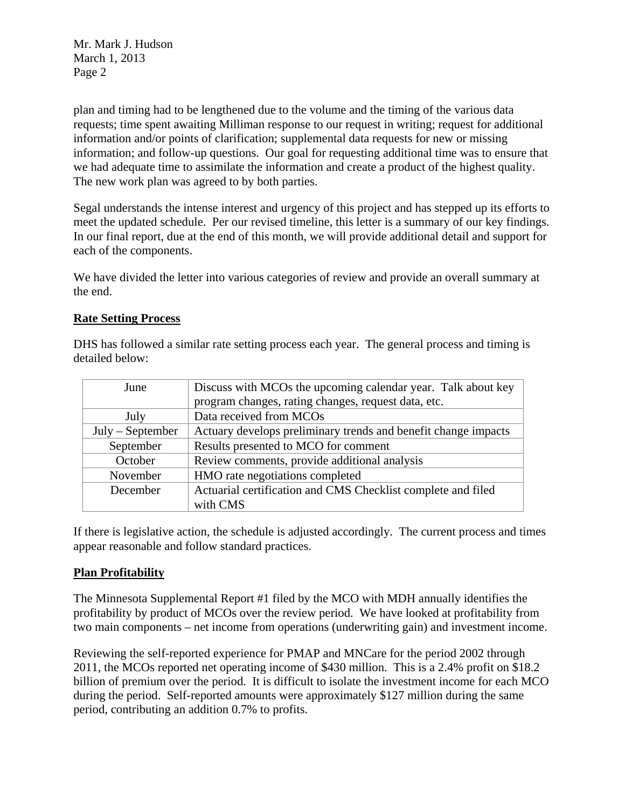plan and timing had to be lengthened due to the volume and the timing of the various data requests; time spent awaiting Milliman response to our request in writing; request for additional information and/or points of clarification; supplemental data requests for new or missing information; and follow-up questions. Our goal for requesting additional time was to ensure that we had adequate time to assimilate the information and create a product of the highest quality. The new work plan was agreed to by both parties.

Segal understands the intense interest and urgency of this project and has stepped up its efforts to meet the updated schedule. Per our revised timeline, this letter is a summary of our key findings. In our final report, due at the end of this month, we will provide additional detail and support for each of the components.

We have divided the letter into various categories of review and provide an overall summary at the end.

#### **Rate Setting Process**

DHS has followed a similar rate setting process each year. The general process and timing is detailed below:

| June               | Discuss with MCOs the upcoming calendar year. Talk about key   |
|--------------------|----------------------------------------------------------------|
|                    | program changes, rating changes, request data, etc.            |
| July               | Data received from MCOs                                        |
| $July - September$ | Actuary develops preliminary trends and benefit change impacts |
| September          | Results presented to MCO for comment                           |
| October            | Review comments, provide additional analysis                   |
| November           | HMO rate negotiations completed                                |
| December           | Actuarial certification and CMS Checklist complete and filed   |
|                    | with CMS                                                       |

If there is legislative action, the schedule is adjusted accordingly. The current process and times appear reasonable and follow standard practices.

### **Plan Profitability**

The Minnesota Supplemental Report #1 filed by the MCO with MDH annually identifies the profitability by product of MCOs over the review period. We have looked at profitability from two main components – net income from operations (underwriting gain) and investment income.

Reviewing the self-reported experience for PMAP and MNCare for the period 2002 through 2011, the MCOs reported net operating income of \$430 million. This is a 2.4% profit on \$18.2 billion of premium over the period. It is difficult to isolate the investment income for each MCO during the period. Self-reported amounts were approximately \$127 million during the same period, contributing an addition 0.7% to profits.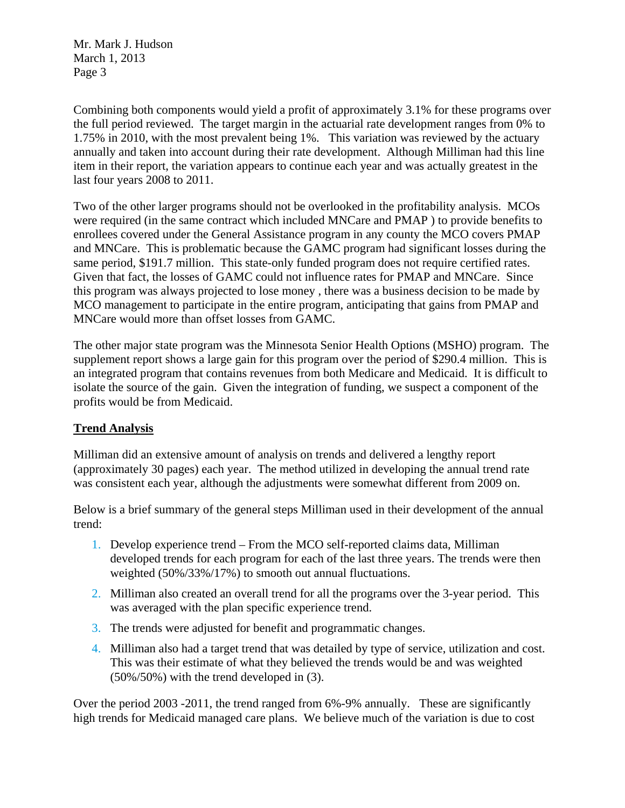Combining both components would yield a profit of approximately 3.1% for these programs over the full period reviewed. The target margin in the actuarial rate development ranges from 0% to 1.75% in 2010, with the most prevalent being 1%. This variation was reviewed by the actuary annually and taken into account during their rate development. Although Milliman had this line item in their report, the variation appears to continue each year and was actually greatest in the last four years 2008 to 2011.

Two of the other larger programs should not be overlooked in the profitability analysis. MCOs were required (in the same contract which included MNCare and PMAP ) to provide benefits to enrollees covered under the General Assistance program in any county the MCO covers PMAP and MNCare. This is problematic because the GAMC program had significant losses during the same period, \$191.7 million. This state-only funded program does not require certified rates. Given that fact, the losses of GAMC could not influence rates for PMAP and MNCare. Since this program was always projected to lose money , there was a business decision to be made by MCO management to participate in the entire program, anticipating that gains from PMAP and MNCare would more than offset losses from GAMC.

The other major state program was the Minnesota Senior Health Options (MSHO) program. The supplement report shows a large gain for this program over the period of \$290.4 million. This is an integrated program that contains revenues from both Medicare and Medicaid. It is difficult to isolate the source of the gain. Given the integration of funding, we suspect a component of the profits would be from Medicaid.

### **Trend Analysis**

Milliman did an extensive amount of analysis on trends and delivered a lengthy report (approximately 30 pages) each year. The method utilized in developing the annual trend rate was consistent each year, although the adjustments were somewhat different from 2009 on.

Below is a brief summary of the general steps Milliman used in their development of the annual trend:

- 1. Develop experience trend From the MCO self-reported claims data, Milliman developed trends for each program for each of the last three years. The trends were then weighted (50%/33%/17%) to smooth out annual fluctuations.
- 2. Milliman also created an overall trend for all the programs over the 3-year period. This was averaged with the plan specific experience trend.
- 3. The trends were adjusted for benefit and programmatic changes.
- 4. Milliman also had a target trend that was detailed by type of service, utilization and cost. This was their estimate of what they believed the trends would be and was weighted (50%/50%) with the trend developed in (3).

Over the period 2003 -2011, the trend ranged from 6%-9% annually. These are significantly high trends for Medicaid managed care plans. We believe much of the variation is due to cost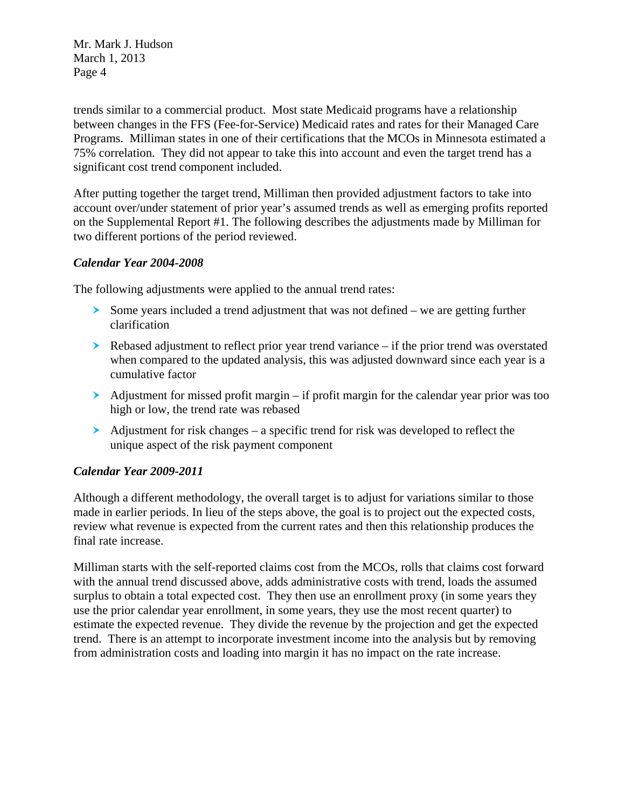trends similar to a commercial product. Most state Medicaid programs have a relationship between changes in the FFS (Fee-for-Service) Medicaid rates and rates for their Managed Care Programs. Milliman states in one of their certifications that the MCOs in Minnesota estimated a 75% correlation. They did not appear to take this into account and even the target trend has a significant cost trend component included.

After putting together the target trend, Milliman then provided adjustment factors to take into account over/under statement of prior year's assumed trends as well as emerging profits reported on the Supplemental Report #1. The following describes the adjustments made by Milliman for two different portions of the period reviewed.

### *Calendar Year 2004-2008*

The following adjustments were applied to the annual trend rates:

- $\geq$  Some years included a trend adjustment that was not defined we are getting further clarification
- Rebased adjustment to reflect prior year trend variance if the prior trend was overstated when compared to the updated analysis, this was adjusted downward since each year is a cumulative factor
- $\geq$  Adjustment for missed profit margin if profit margin for the calendar year prior was too high or low, the trend rate was rebased
- $\blacktriangleright$  Adjustment for risk changes a specific trend for risk was developed to reflect the unique aspect of the risk payment component

### *Calendar Year 2009-2011*

Although a different methodology, the overall target is to adjust for variations similar to those made in earlier periods. In lieu of the steps above, the goal is to project out the expected costs, review what revenue is expected from the current rates and then this relationship produces the final rate increase.

Milliman starts with the self-reported claims cost from the MCOs, rolls that claims cost forward with the annual trend discussed above, adds administrative costs with trend, loads the assumed surplus to obtain a total expected cost. They then use an enrollment proxy (in some years they use the prior calendar year enrollment, in some years, they use the most recent quarter) to estimate the expected revenue. They divide the revenue by the projection and get the expected trend. There is an attempt to incorporate investment income into the analysis but by removing from administration costs and loading into margin it has no impact on the rate increase.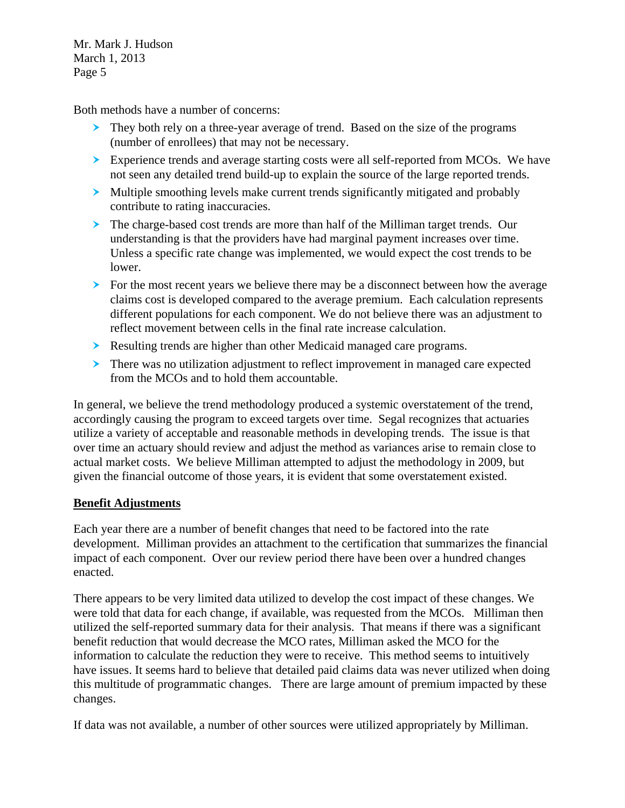Both methods have a number of concerns:

- They both rely on a three-year average of trend. Based on the size of the programs (number of enrollees) that may not be necessary.
- Experience trends and average starting costs were all self-reported from MCOs. We have not seen any detailed trend build-up to explain the source of the large reported trends.
- Multiple smoothing levels make current trends significantly mitigated and probably contribute to rating inaccuracies.
- The charge-based cost trends are more than half of the Milliman target trends. Our understanding is that the providers have had marginal payment increases over time. Unless a specific rate change was implemented, we would expect the cost trends to be lower.
- For the most recent years we believe there may be a disconnect between how the average claims cost is developed compared to the average premium. Each calculation represents different populations for each component. We do not believe there was an adjustment to reflect movement between cells in the final rate increase calculation.
- Resulting trends are higher than other Medicaid managed care programs.
- There was no utilization adjustment to reflect improvement in managed care expected from the MCOs and to hold them accountable.

In general, we believe the trend methodology produced a systemic overstatement of the trend, accordingly causing the program to exceed targets over time. Segal recognizes that actuaries utilize a variety of acceptable and reasonable methods in developing trends. The issue is that over time an actuary should review and adjust the method as variances arise to remain close to actual market costs. We believe Milliman attempted to adjust the methodology in 2009, but given the financial outcome of those years, it is evident that some overstatement existed.

# **Benefit Adjustments**

Each year there are a number of benefit changes that need to be factored into the rate development. Milliman provides an attachment to the certification that summarizes the financial impact of each component. Over our review period there have been over a hundred changes enacted.

There appears to be very limited data utilized to develop the cost impact of these changes. We were told that data for each change, if available, was requested from the MCOs. Milliman then utilized the self-reported summary data for their analysis. That means if there was a significant benefit reduction that would decrease the MCO rates, Milliman asked the MCO for the information to calculate the reduction they were to receive. This method seems to intuitively have issues. It seems hard to believe that detailed paid claims data was never utilized when doing this multitude of programmatic changes. There are large amount of premium impacted by these changes.

If data was not available, a number of other sources were utilized appropriately by Milliman.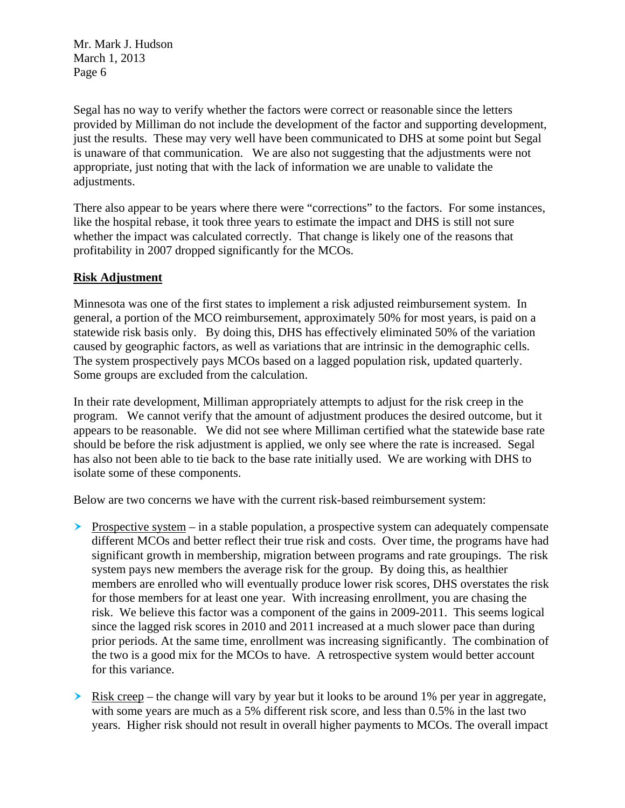Segal has no way to verify whether the factors were correct or reasonable since the letters provided by Milliman do not include the development of the factor and supporting development, just the results. These may very well have been communicated to DHS at some point but Segal is unaware of that communication. We are also not suggesting that the adjustments were not appropriate, just noting that with the lack of information we are unable to validate the adjustments.

There also appear to be years where there were "corrections" to the factors. For some instances, like the hospital rebase, it took three years to estimate the impact and DHS is still not sure whether the impact was calculated correctly. That change is likely one of the reasons that profitability in 2007 dropped significantly for the MCOs.

### **Risk Adjustment**

Minnesota was one of the first states to implement a risk adjusted reimbursement system. In general, a portion of the MCO reimbursement, approximately 50% for most years, is paid on a statewide risk basis only. By doing this, DHS has effectively eliminated 50% of the variation caused by geographic factors, as well as variations that are intrinsic in the demographic cells. The system prospectively pays MCOs based on a lagged population risk, updated quarterly. Some groups are excluded from the calculation.

In their rate development, Milliman appropriately attempts to adjust for the risk creep in the program. We cannot verify that the amount of adjustment produces the desired outcome, but it appears to be reasonable. We did not see where Milliman certified what the statewide base rate should be before the risk adjustment is applied, we only see where the rate is increased. Segal has also not been able to tie back to the base rate initially used. We are working with DHS to isolate some of these components.

Below are two concerns we have with the current risk-based reimbursement system:

- Prospective system in a stable population, a prospective system can adequately compensate different MCOs and better reflect their true risk and costs. Over time, the programs have had significant growth in membership, migration between programs and rate groupings. The risk system pays new members the average risk for the group. By doing this, as healthier members are enrolled who will eventually produce lower risk scores, DHS overstates the risk for those members for at least one year. With increasing enrollment, you are chasing the risk. We believe this factor was a component of the gains in 2009-2011. This seems logical since the lagged risk scores in 2010 and 2011 increased at a much slower pace than during prior periods. At the same time, enrollment was increasing significantly. The combination of the two is a good mix for the MCOs to have. A retrospective system would better account for this variance.
- $\geq$  Risk creep the change will vary by year but it looks to be around 1% per year in aggregate. with some years are much as a 5% different risk score, and less than 0.5% in the last two years. Higher risk should not result in overall higher payments to MCOs. The overall impact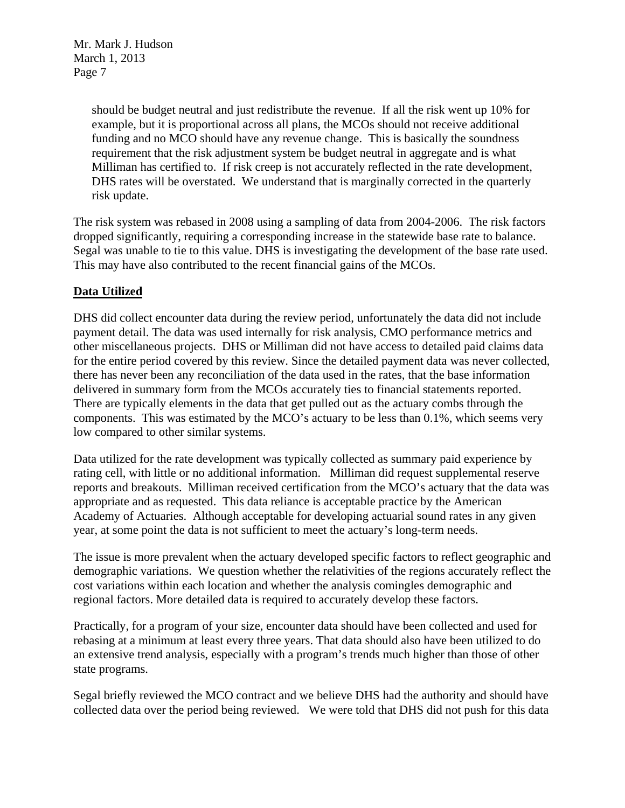> should be budget neutral and just redistribute the revenue. If all the risk went up 10% for example, but it is proportional across all plans, the MCOs should not receive additional funding and no MCO should have any revenue change. This is basically the soundness requirement that the risk adjustment system be budget neutral in aggregate and is what Milliman has certified to. If risk creep is not accurately reflected in the rate development, DHS rates will be overstated. We understand that is marginally corrected in the quarterly risk update.

The risk system was rebased in 2008 using a sampling of data from 2004-2006. The risk factors dropped significantly, requiring a corresponding increase in the statewide base rate to balance. Segal was unable to tie to this value. DHS is investigating the development of the base rate used. This may have also contributed to the recent financial gains of the MCOs.

### **Data Utilized**

DHS did collect encounter data during the review period, unfortunately the data did not include payment detail. The data was used internally for risk analysis, CMO performance metrics and other miscellaneous projects. DHS or Milliman did not have access to detailed paid claims data for the entire period covered by this review. Since the detailed payment data was never collected, there has never been any reconciliation of the data used in the rates, that the base information delivered in summary form from the MCOs accurately ties to financial statements reported. There are typically elements in the data that get pulled out as the actuary combs through the components. This was estimated by the MCO's actuary to be less than 0.1%, which seems very low compared to other similar systems.

Data utilized for the rate development was typically collected as summary paid experience by rating cell, with little or no additional information. Milliman did request supplemental reserve reports and breakouts. Milliman received certification from the MCO's actuary that the data was appropriate and as requested. This data reliance is acceptable practice by the American Academy of Actuaries. Although acceptable for developing actuarial sound rates in any given year, at some point the data is not sufficient to meet the actuary's long-term needs.

The issue is more prevalent when the actuary developed specific factors to reflect geographic and demographic variations. We question whether the relativities of the regions accurately reflect the cost variations within each location and whether the analysis comingles demographic and regional factors. More detailed data is required to accurately develop these factors.

Practically, for a program of your size, encounter data should have been collected and used for rebasing at a minimum at least every three years. That data should also have been utilized to do an extensive trend analysis, especially with a program's trends much higher than those of other state programs.

Segal briefly reviewed the MCO contract and we believe DHS had the authority and should have collected data over the period being reviewed. We were told that DHS did not push for this data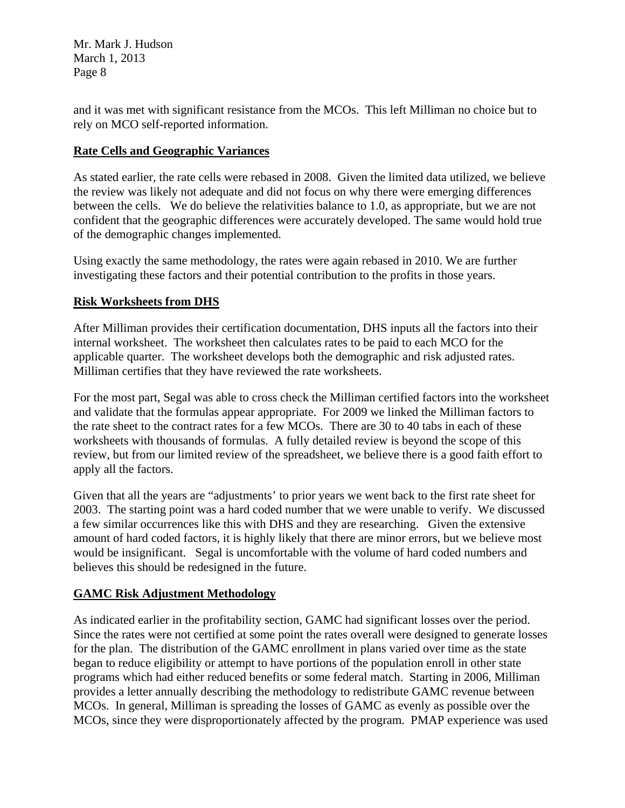and it was met with significant resistance from the MCOs. This left Milliman no choice but to rely on MCO self-reported information.

## **Rate Cells and Geographic Variances**

As stated earlier, the rate cells were rebased in 2008. Given the limited data utilized, we believe the review was likely not adequate and did not focus on why there were emerging differences between the cells. We do believe the relativities balance to 1.0, as appropriate, but we are not confident that the geographic differences were accurately developed. The same would hold true of the demographic changes implemented.

Using exactly the same methodology, the rates were again rebased in 2010. We are further investigating these factors and their potential contribution to the profits in those years.

## **Risk Worksheets from DHS**

After Milliman provides their certification documentation, DHS inputs all the factors into their internal worksheet. The worksheet then calculates rates to be paid to each MCO for the applicable quarter. The worksheet develops both the demographic and risk adjusted rates. Milliman certifies that they have reviewed the rate worksheets.

For the most part, Segal was able to cross check the Milliman certified factors into the worksheet and validate that the formulas appear appropriate. For 2009 we linked the Milliman factors to the rate sheet to the contract rates for a few MCOs. There are 30 to 40 tabs in each of these worksheets with thousands of formulas. A fully detailed review is beyond the scope of this review, but from our limited review of the spreadsheet, we believe there is a good faith effort to apply all the factors.

Given that all the years are "adjustments' to prior years we went back to the first rate sheet for 2003. The starting point was a hard coded number that we were unable to verify. We discussed a few similar occurrences like this with DHS and they are researching. Given the extensive amount of hard coded factors, it is highly likely that there are minor errors, but we believe most would be insignificant. Segal is uncomfortable with the volume of hard coded numbers and believes this should be redesigned in the future.

# **GAMC Risk Adjustment Methodology**

As indicated earlier in the profitability section, GAMC had significant losses over the period. Since the rates were not certified at some point the rates overall were designed to generate losses for the plan. The distribution of the GAMC enrollment in plans varied over time as the state began to reduce eligibility or attempt to have portions of the population enroll in other state programs which had either reduced benefits or some federal match. Starting in 2006, Milliman provides a letter annually describing the methodology to redistribute GAMC revenue between MCOs. In general, Milliman is spreading the losses of GAMC as evenly as possible over the MCOs, since they were disproportionately affected by the program. PMAP experience was used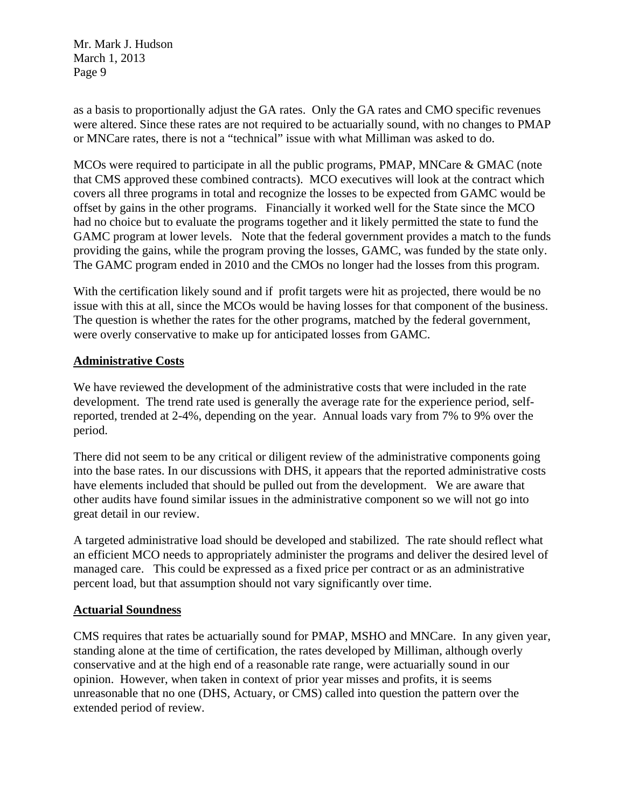as a basis to proportionally adjust the GA rates. Only the GA rates and CMO specific revenues were altered. Since these rates are not required to be actuarially sound, with no changes to PMAP or MNCare rates, there is not a "technical" issue with what Milliman was asked to do.

MCOs were required to participate in all the public programs, PMAP, MNCare & GMAC (note that CMS approved these combined contracts). MCO executives will look at the contract which covers all three programs in total and recognize the losses to be expected from GAMC would be offset by gains in the other programs. Financially it worked well for the State since the MCO had no choice but to evaluate the programs together and it likely permitted the state to fund the GAMC program at lower levels. Note that the federal government provides a match to the funds providing the gains, while the program proving the losses, GAMC, was funded by the state only. The GAMC program ended in 2010 and the CMOs no longer had the losses from this program.

With the certification likely sound and if profit targets were hit as projected, there would be no issue with this at all, since the MCOs would be having losses for that component of the business. The question is whether the rates for the other programs, matched by the federal government, were overly conservative to make up for anticipated losses from GAMC.

### **Administrative Costs**

We have reviewed the development of the administrative costs that were included in the rate development. The trend rate used is generally the average rate for the experience period, selfreported, trended at 2-4%, depending on the year. Annual loads vary from 7% to 9% over the period.

There did not seem to be any critical or diligent review of the administrative components going into the base rates. In our discussions with DHS, it appears that the reported administrative costs have elements included that should be pulled out from the development. We are aware that other audits have found similar issues in the administrative component so we will not go into great detail in our review.

A targeted administrative load should be developed and stabilized. The rate should reflect what an efficient MCO needs to appropriately administer the programs and deliver the desired level of managed care. This could be expressed as a fixed price per contract or as an administrative percent load, but that assumption should not vary significantly over time.

#### **Actuarial Soundness**

CMS requires that rates be actuarially sound for PMAP, MSHO and MNCare. In any given year, standing alone at the time of certification, the rates developed by Milliman, although overly conservative and at the high end of a reasonable rate range, were actuarially sound in our opinion. However, when taken in context of prior year misses and profits, it is seems unreasonable that no one (DHS, Actuary, or CMS) called into question the pattern over the extended period of review.